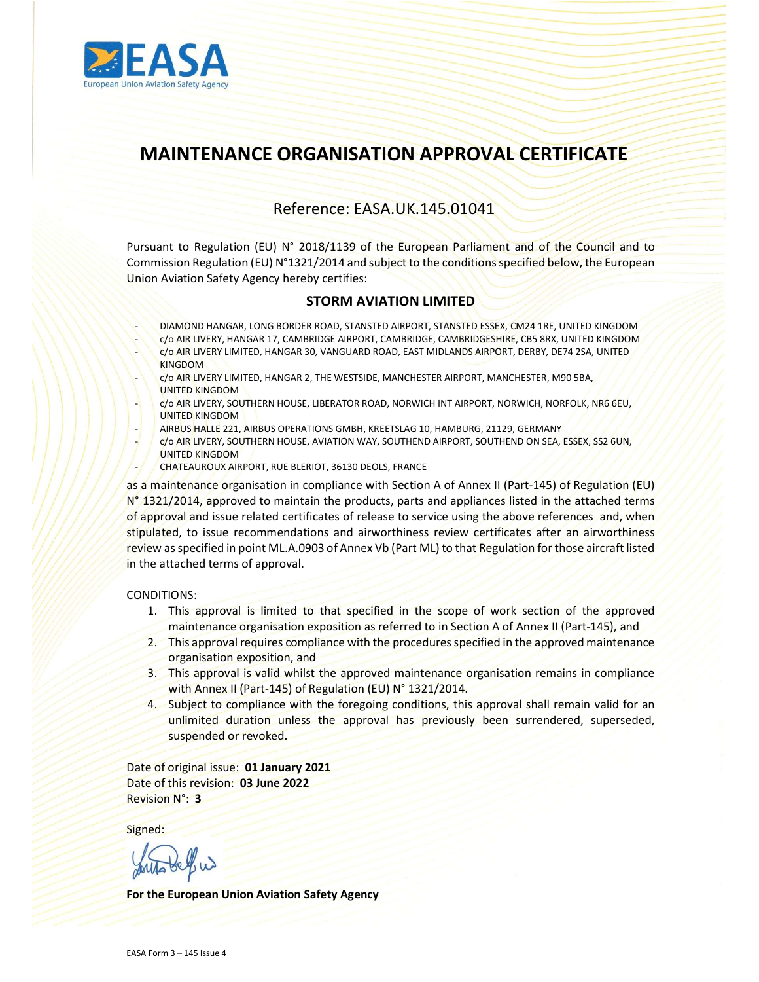

# MAINTENANCE ORGANISATION APPROVAL CERTIFICATE

## Reference: EASA.UK.145.01041

Pursuant to Regulation (EU) N° 2018/1139 of the European Parliament and of the Council and to Commission Regulation (EU) N°1321/2014 and subject to the conditions specified below, the European Union Aviation Safety Agency hereby certifies:

#### STORM AVIATION LIMITED

- DIAMOND HANGAR, LONG BORDER ROAD, STANSTED AIRPORT, STANSTED ESSEX, CM24 1RE, UNITED KINGDOM
- c/o AIR LIVERY, HANGAR 17, CAMBRIDGE AIRPORT, CAMBRIDGE, CAMBRIDGESHIRE, CB5 8RX, UNITED KINGDOM
- c/o AIR LIVERY LIMITED, HANGAR 30, VANGUARD ROAD, EAST MIDLANDS AIRPORT, DERBY, DE74 2SA, UNITED KINGDOM
- c/o AIR LIVERY LIMITED, HANGAR 2, THE WESTSIDE, MANCHESTER AIRPORT, MANCHESTER, M90 5BA, UNITED KINGDOM
- c/o AIR LIVERY, SOUTHERN HOUSE, LIBERATOR ROAD, NORWICH INT AIRPORT, NORWICH, NORFOLK, NR6 6EU, UNITED KINGDOM
- AIRBUS HALLE 221, AIRBUS OPERATIONS GMBH, KREETSLAG 10, HAMBURG, 21129, GERMANY
- c/o AIR LIVERY, SOUTHERN HOUSE, AVIATION WAY, SOUTHEND AIRPORT, SOUTHEND ON SEA, ESSEX, SS2 6UN, UNITED KINGDOM
- CHATEAUROUX AIRPORT, RUE BLERIOT, 36130 DEOLS, FRANCE

as a maintenance organisation in compliance with Section A of Annex II (Part-145) of Regulation (EU) N° 1321/2014, approved to maintain the products, parts and appliances listed in the attached terms of approval and issue related certificates of release to service using the above references and, when stipulated, to issue recommendations and airworthiness review certificates after an airworthiness review as specified in point ML.A.0903 of Annex Vb (Part ML) to that Regulation for those aircraft listed in the attached terms of approval.

CONDITIONS:

- 1. This approval is limited to that specified in the scope of work section of the approved maintenance organisation exposition as referred to in Section A of Annex II (Part-145), and
- 2. This approval requires compliance with the procedures specified in the approved maintenance organisation exposition, and
- 3. This approval is valid whilst the approved maintenance organisation remains in compliance with Annex II (Part-145) of Regulation (EU) N° 1321/2014.
- 4. Subject to compliance with the foregoing conditions, this approval shall remain valid for an unlimited duration unless the approval has previously been surrendered, superseded, suspended or revoked.

Date of original issue: 01 January 2021 Date of this revision: 03 June 2022 Revision N°: 3

Signed:

For the European Union Aviation Safety Agency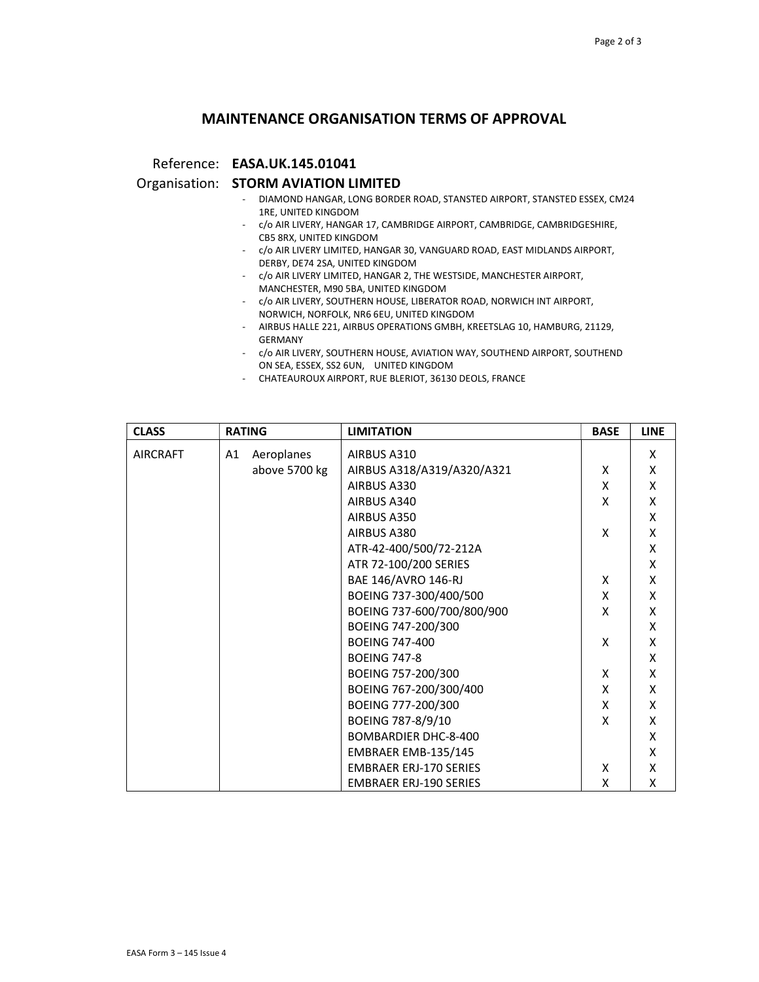## MAINTENANCE ORGANISATION TERMS OF APPROVAL

Reference: EASA.UK.145.01041

#### Organisation: STORM AVIATION LIMITED

- DIAMOND HANGAR, LONG BORDER ROAD, STANSTED AIRPORT, STANSTED ESSEX, CM24 1RE, UNITED KINGDOM
- c/o AIR LIVERY, HANGAR 17, CAMBRIDGE AIRPORT, CAMBRIDGE, CAMBRIDGESHIRE, CB5 8RX, UNITED KINGDOM
- c/o AIR LIVERY LIMITED, HANGAR 30, VANGUARD ROAD, EAST MIDLANDS AIRPORT, DERBY, DE74 2SA, UNITED KINGDOM
- c/o AIR LIVERY LIMITED, HANGAR 2, THE WESTSIDE, MANCHESTER AIRPORT, MANCHESTER, M90 5BA, UNITED KINGDOM
- c/o AIR LIVERY, SOUTHERN HOUSE, LIBERATOR ROAD, NORWICH INT AIRPORT, NORWICH, NORFOLK, NR6 6EU, UNITED KINGDOM
- AIRBUS HALLE 221, AIRBUS OPERATIONS GMBH, KREETSLAG 10, HAMBURG, 21129, GERMANY
- c/o AIR LIVERY, SOUTHERN HOUSE, AVIATION WAY, SOUTHEND AIRPORT, SOUTHEND ON SEA, ESSEX, SS2 6UN, UNITED KINGDOM
- CHATEAUROUX AIRPORT, RUE BLERIOT, 36130 DEOLS, FRANCE

| <b>CLASS</b>    |    | <b>RATING</b> | <b>LIMITATION</b>             | <b>BASE</b> | <b>LINE</b> |
|-----------------|----|---------------|-------------------------------|-------------|-------------|
| <b>AIRCRAFT</b> | A1 | Aeroplanes    | AIRBUS A310                   |             | X           |
|                 |    | above 5700 kg | AIRBUS A318/A319/A320/A321    | X           | X           |
|                 |    |               | AIRBUS A330                   | X           | X           |
|                 |    |               | AIRBUS A340                   | X           | X           |
|                 |    |               | AIRBUS A350                   |             | X           |
|                 |    |               | AIRBUS A380                   | X           | X           |
|                 |    |               | ATR-42-400/500/72-212A        |             | X           |
|                 |    |               | ATR 72-100/200 SERIES         |             | X           |
|                 |    |               | BAE 146/AVRO 146-RJ           | X           | X           |
|                 |    |               | BOEING 737-300/400/500        | X           | X           |
|                 |    |               | BOEING 737-600/700/800/900    | X           | X           |
|                 |    |               | BOEING 747-200/300            |             | X           |
|                 |    |               | <b>BOEING 747-400</b>         | X           | X           |
|                 |    |               | <b>BOEING 747-8</b>           |             | X           |
|                 |    |               | BOEING 757-200/300            | X           | X           |
|                 |    |               | BOEING 767-200/300/400        | X           | X           |
|                 |    |               | BOEING 777-200/300            | X           | X           |
|                 |    |               | BOEING 787-8/9/10             | X           | X           |
|                 |    |               | BOMBARDIER DHC-8-400          |             | X           |
|                 |    |               | EMBRAER EMB-135/145           |             | X           |
|                 |    |               | <b>EMBRAER ERJ-170 SERIES</b> | X           | X           |
|                 |    |               | <b>EMBRAER ERJ-190 SERIES</b> | X           | X           |